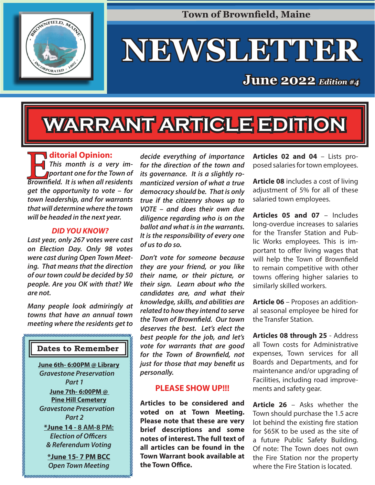

**Town of Brownfield, Maine** 

# **NEWSLETTER EWSLETTER**

# **June 2022** *Edition* #4

# **WARRANT ARTICLE EDITION ARRANT**

**Expansion**<br>
This month is a very portant one for the T **This month is a very important one for the Town of** 

**Brownfield. It is when all residents get the opportunity to vote – for town leadership, and for warrants that will determine where the town will be headed in the next year.**

#### *DID YOU KNOW?*

**Last year, only 267 votes were cast on Election Day. Only 98 votes were cast during Open Town Meeting. That means that the direction of our town could be decided by 50 people. Are you OK with that? We are not.** 

**Many people look admiringly at towns that have an annual town meeting where the residents get to** 

#### **Dates to Remember**

**June 6th- 6:00PM @ Library Gravestone Preservation Part 1 June 7th- 6:00PM @ Pine Hill Cemetery Gravestone Preservation Part 2 \*June 14 - 8 AM-8 PM: Election of Officers & Referendum Voting**

**\*June 15- 7 PM BCC Open Town Meeting**

**decide everything of importance for the direction of the town and its governance. It is a slightly romanticized version of what a true democracy should be. That is only true if the citizenry shows up to VOTE – and does their own due diligence regarding who is on the ballot and what is in the warrants. It is the responsibility of every one of us to do so.** 

**Don't vote for someone because they are your friend, or you like their name, or their picture, or their sign. Learn about who the candidates are, and what their knowledge, skills, and abilities are related to how they intend to serve the Town of Brownfield. Our town deserves the best. Let's elect the best people for the job, and let's vote for warrants that are good**  for the Town of Brownfield, not **just for those that may benefit us personally.**

#### **PLEASE SHOW UP!!!**

**Articles to be considered and voted on at Town Meeting. Please note that these are very brief descriptions and some notes of interest. The full text of all articles can be found in the Town Warrant book available at the Town Office.** 

**Articles 02 and 04** – Lists proposed salaries for town employees.

**Article 08** includes a cost of living adjustment of 5% for all of these salaried town employees.

**Articles 05 and 07** – Includes long-overdue increases to salaries for the Transfer Station and Public Works employees. This is important to offer living wages that will help the Town of Brownfield to remain competitive with other towns offering higher salaries to similarly skilled workers.

**Article 06** – Proposes an additional seasonal employee be hired for the Transfer Station.

**Articles 08 through 25** - Address all Town costs for Administrative expenses, Town services for all Boards and Departments, and for maintenance and/or upgrading of Facilities, including road improvements and safety gear.

**Article 26** – Asks whether the Town should purchase the 1.5 acre lot behind the existing fire station for \$65K to be used as the site of a future Public Safety Building. Of note: The Town does not own the Fire Station nor the property where the Fire Station is located.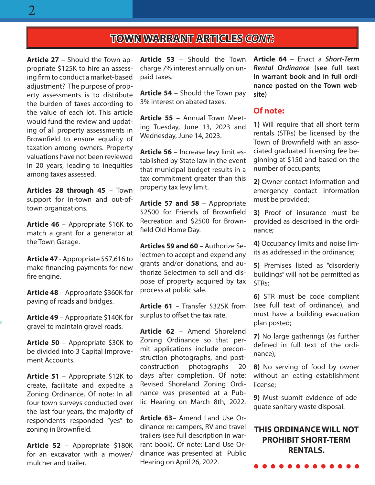#### **TOWN WARRANT ARTICLES OWN CONT:**

**Article 27** – Should the Town appropriate \$125K to hire an assessing firm to conduct a market-based adjustment? The purpose of property assessments is to distribute the burden of taxes according to the value of each lot. This article would fund the review and updating of all property assessments in Brownfield to ensure equality of taxation among owners. Property valuations have not been reviewed in 20 years, leading to inequities among taxes assessed.

**Articles 28 through 45** – Town support for in-town and out-oftown organizations.

**Article 46** – Appropriate \$16K to match a grant for a generator at the Town Garage.

**Article 47** - Appropriate \$57,616 to make financing payments for new fire engine.

**Article 48** – Appropriate \$360K for paving of roads and bridges.

**Article 49** – Appropriate \$140K for gravel to maintain gravel roads.

**Article 50** – Appropriate \$30K to be divided into 3 Capital Improvement Accounts.

**Article 51** – Appropriate \$12K to create, facilitate and expedite a Zoning Ordinance. Of note: In all four town surveys conducted over the last four years, the majority of respondents responded "yes" to zoning in Brownfield.

**Article 52** – Appropriate \$180K for an excavator with a mower/ mulcher and trailer.

**Article 53** – Should the Town charge 7% interest annually on unpaid taxes.

**Article 54** – Should the Town pay 3% interest on abated taxes.

**Article 55** – Annual Town Meeting Tuesday, June 13, 2023 and Wednesday, June 14, 2023.

**Article 56** – Increase levy limit established by State law in the event that municipal budget results in a tax commitment greater than this property tax levy limit.

**Article 57 and 58** – Appropriate \$2500 for Friends of Brownfield Recreation and \$2500 for Brownfield Old Home Day.

**Articles 59 and 60** – Authorize Selectmen to accept and expend any grants and/or donations, and authorize Selectmen to sell and dispose of property acquired by tax process at public sale.

**Article 61** – Transfer \$325K from surplus to offset the tax rate.

**Article 62** – Amend Shoreland Zoning Ordinance so that permit applications include preconstruction photographs, and postconstruction photographs 20 days after completion. Of note: Revised Shoreland Zoning Ordinance was presented at a Public Hearing on March 8th, 2022.

**Article 63**– Amend Land Use Ordinance re: campers, RV and travel trailers (see full description in warrant book). Of note: Land Use Ordinance was presented at Public Hearing on April 26, 2022.

**Article 64** – Enact a **Short-Term Rental Ordinance (see full text in warrant book and in full ordinance posted on the Town website)**

#### **Of note:**

**1)** Will require that all short term rentals (STRs) be licensed by the Town of Brownfield with an associated graduated licensing fee beginning at \$150 and based on the number of occupants;

**2)** Owner contact information and emergency contact information must be provided;

**3)** Proof of insurance must be provided as described in the ordinance;

**4)** Occupancy limits and noise limits as addressed in the ordinance;

**5)** Premises listed as "disorderly buildings" will not be permitted as STRs;

**6)** STR must be code compliant (see full text of ordinance), and must have a building evacuation plan posted;

**7)** No large gatherings (as further defined in full text of the ordinance);

**8)** No serving of food by owner without an eating establishment license;

**9)** Must submit evidence of adequate sanitary waste disposal.

#### **THIS ORDINANCE WILL NOT PROHIBIT SHORT-TERM RENTALS.**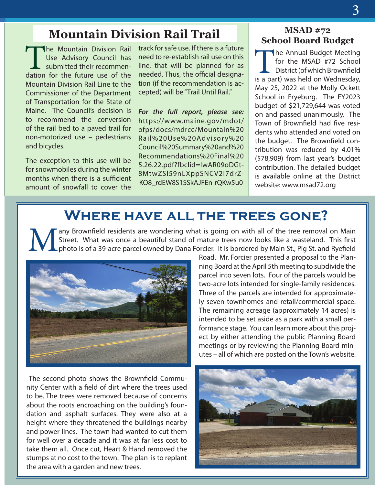### **Mountain Division Rail Trail**

**The Mountain Division Rail<br>Use Advisory Council has<br>submitted their recommen-**Use Advisory Council has submitted their recommendation for the future use of the Mountain Division Rail Line to the Commissioner of the Department of Transportation for the State of Maine. The Council's decision is to recommend the conversion of the rail bed to a paved trail for non-motorized use – pedestrians and bicycles.

The exception to this use will be for snowmobiles during the winter months when there is a sufficient amount of snowfall to cover the track for safe use. If there is a future need to re-establish rail use on this line, that will be planned for as needed. Thus, the official designation (if the recommendation is accepted) will be "Trail Until Rail."

**For the full report, please see:**  https://www.maine.gov/mdot/ ofps/docs/mdrcc/Mountain%20 Rail%20Use%20Advisory%20 Council%20Summary%20and%20 Recommendations%20Final%20 5.26.22.pdf?fbclid=IwAR09oDGt-8MtwZSl59nLXppSNCV2I7drZ-KO8\_rdEW8S1SSkAJFEn-rQKw5u0

#### **MSAD #72 School Board Budget**

The Annual Budget Meeting for the MSAD #72 School District (of which Brownfield is a part) was held on Wednesday, May 25, 2022 at the Molly Ockett School in Fryeburg. The FY2023 budget of \$21,729,644 was voted on and passed unanimously. The Town of Brownfield had five residents who attended and voted on the budget. The Brownfield contribution was reduced by 4.01% (\$78,909) from last year's budget contribution. The detailed budget is available online at the District website: www.msad72.org

# WHERE HAVE ALL THE TREES GONE?

MANE ALL INE INEES GUNE:<br>
Many Brownfield residents are wondering what is going on with all of the tree removal on Main<br>
Street. What was once a beautiful stand of mature trees now looks like a wasteland. This first<br>
photo Street. What was once a beautiful stand of mature trees now looks like a wasteland. This first photo is of a 39-acre parcel owned by Dana Forcier. It is bordered by Main St., Pig St. and Ryefield



The second photo shows the Brownfield Community Center with a field of dirt where the trees used to be. The trees were removed because of concerns about the roots encroaching on the building's foundation and asphalt surfaces. They were also at a height where they threatened the buildings nearby and power lines. The town had wanted to cut them for well over a decade and it was at far less cost to take them all. Once cut, Heart & Hand removed the stumps at no cost to the town. The plan is to replant the area with a garden and new trees.

Road. Mr. Forcier presented a proposal to the Planning Board at the April 5th meeting to subdivide the parcel into seven lots. Four of the parcels would be two-acre lots intended for single-family residences. Three of the parcels are intended for approximately seven townhomes and retail/commercial space. The remaining acreage (approximately 14 acres) is intended to be set aside as a park with a small performance stage. You can learn more about this project by either attending the public Planning Board meetings or by reviewing the Planning Board minutes – all of which are posted on the Town's website.